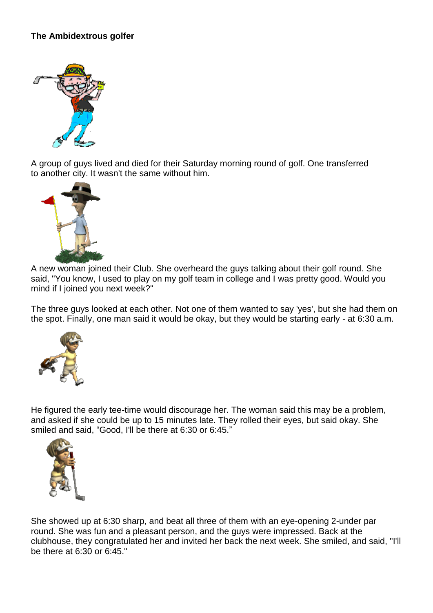## **The Ambidextrous golfer**



A group of guys lived and died for their Saturday morning round of golf. One transferred to another city. It wasn't the same without him.



A new woman joined their Club. She overheard the guys talking about their golf round. She said, "You know, I used to play on my golf team in college and I was pretty good. Would you mind if I joined you next week?"

The three guys looked at each other. Not one of them wanted to say 'yes', but she had them on the spot. Finally, one man said it would be okay, but they would be starting early - at 6:30 a.m.



He figured the early tee-time would discourage her. The woman said this may be a problem, and asked if she could be up to 15 minutes late. They rolled their eyes, but said okay. She smiled and said, "Good, I'll be there at 6:30 or 6:45."



She showed up at 6:30 sharp, and beat all three of them with an eye-opening 2-under par round. She was fun and a pleasant person, and the guys were impressed. Back at the clubhouse, they congratulated her and invited her back the next week. She smiled, and said, "I'll be there at 6:30 or 6:45."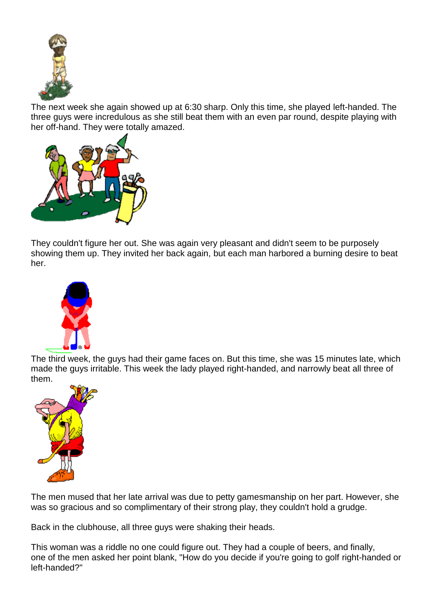

The next week she again showed up at 6:30 sharp. Only this time, she played left-handed. The three guys were incredulous as she still beat them with an even par round, despite playing with her off-hand. They were totally amazed.



They couldn't figure her out. She was again very pleasant and didn't seem to be purposely showing them up. They invited her back again, but each man harbored a burning desire to beat her.



The third week, the guys had their game faces on. But this time, she was 15 minutes late, which made the guys irritable. This week the lady played right-handed, and narrowly beat all three of them.



The men mused that her late arrival was due to petty gamesmanship on her part. However, she was so gracious and so complimentary of their strong play, they couldn't hold a grudge.

Back in the clubhouse, all three guys were shaking their heads.

This woman was a riddle no one could figure out. They had a couple of beers, and finally, one of the men asked her point blank, "How do you decide if you're going to golf right-handed or left-handed?"